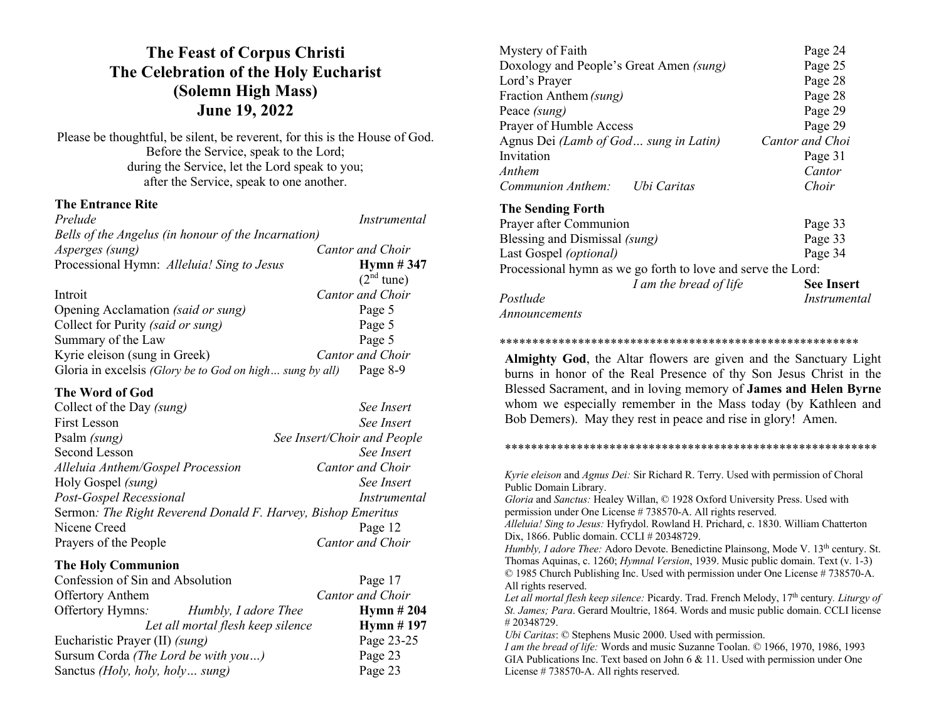# **The Feast of Corpus Christi The Celebration of the Holy Eucharist (Solemn High Mass) June 19, 2022**

Please be thoughtful, be silent, be reverent, for this is the House of God. Before the Service, speak to the Lord; during the Service, let the Lord speak to you; after the Service, speak to one another.

## **The Entrance Rite**

*Prelude Instrumental Bells of the Angelus (in honour of the Incarnation) Asperges (sung) Cantor and Choir* Processional Hymn: *Alleluia! Sing to Jesus* **Hymn # 347**  $(2<sup>nd</sup>$  tune) Introit *Cantor and Choir* Opening Acclamation *(said or sung)* Page 5 Collect for Purity *(said or sung)* Page 5 Summary of the Law Page 5 Kyrie eleison (sung in Greek) *Cantor and Choir* Gloria in excelsis *(Glory be to God on high… sung by all)* Page 8-9

# **The Word of God**

| Collect of the Day (sung)                                    | See Insert                  |  |
|--------------------------------------------------------------|-----------------------------|--|
| First Lesson                                                 | See Insert                  |  |
| Psalm (sung)                                                 | See Insert/Choir and People |  |
| Second Lesson                                                | See Insert                  |  |
| Alleluia Anthem/Gospel Procession                            | Cantor and Choir            |  |
| Holy Gospel (sung)                                           | See Insert                  |  |
| Post-Gospel Recessional                                      | Instrumental                |  |
| Sermon: The Right Reverend Donald F. Harvey, Bishop Emeritus |                             |  |
| Nicene Creed                                                 | Page 12                     |  |
| Prayers of the People                                        | Cantor and Choir            |  |

## **The Holy Communion**

| Confession of Sin and Absolution         | Page 17          |
|------------------------------------------|------------------|
| <b>Offertory Anthem</b>                  | Cantor and Choir |
| Offertory Hymns:<br>Humbly, I adore Thee | Hymn $#204$      |
| Let all mortal flesh keep silence        | Hymn $#$ 197     |
| Eucharistic Prayer (II) (sung)           | Page 23-25       |
| Sursum Corda (The Lord be with you)      | Page 23          |
| Sanctus (Holy, holy, holy sung)          | Page 23          |

| Mystery of Faith                        | Page 24         |
|-----------------------------------------|-----------------|
| Doxology and People's Great Amen (sung) | Page 25         |
| Lord's Prayer                           | Page 28         |
| Fraction Anthem (sung)                  | Page 28         |
| Peace (sung)                            | Page 29         |
| Prayer of Humble Access                 | Page 29         |
| Agnus Dei (Lamb of God sung in Latin)   | Cantor and Choi |
| Invitation                              | Page 31         |
| Anthem                                  | Cantor          |
| Communion Anthem:<br>Ubi Caritas        | Choir           |
| <b>The Sending Forth</b>                |                 |
| Prayer after Communion                  | Page 33         |
| Blessing and Dismissal (sung)           | Page 33         |
| Last Gospel (optional)                  | Page 34         |

Processional hymn as we go forth to love and serve the Lord: *I am the bread of life* **See Insert** *Postlude Instrumental*

*Announcements*

#### \*\*\*\*\*\*\*\*\*\*\*\*\*\*\*\*\*\*\*\*\*\*\*\*\*\*\*\*\*\*\*\*\*\*\*\*\*\*\*\*\*\*\*\*\*\*\*\*\*\*\*\*\*\*\*

**Almighty God**, the Altar flowers are given and the Sanctuary Light burns in honor of the Real Presence of thy Son Jesus Christ in the Blessed Sacrament, and in loving memory of **James and Helen Byrne** whom we especially remember in the Mass today (by Kathleen and Bob Demers). May they rest in peace and rise in glory! Amen.

\*\*\*\*\*\*\*\*\*\*\*\*\*\*\*\*\*\*\*\*\*\*\*\*\*\*\*\*\*\*\*\*\*\*\*\*\*\*\*\*\*\*\*\*\*\*\*\*\*\*\*\*\*\*\*\*\*

*Kyrie eleison* and *Agnus Dei:* Sir Richard R. Terry. Used with permission of Choral Public Domain Library. *Gloria* and *Sanctus:* Healey Willan, © 1928 Oxford University Press. Used with permission under One License # 738570-A. All rights reserved. *Alleluia! Sing to Jesus:* Hyfrydol. Rowland H. Prichard, c. 1830. William Chatterton Dix, 1866. Public domain. CCLI # 20348729. *Humbly, I adore Thee:* Adoro Devote. Benedictine Plainsong, Mode V. 13<sup>th</sup> century. St. Thomas Aquinas, c. 1260; *Hymnal Version*, 1939. Music public domain. Text (v. 1-3) © 1985 Church Publishing Inc. Used with permission under One License # 738570-A. All rights reserved. *Let all mortal flesh keep silence:* Picardy. Trad. French Melody, 17th century*. Liturgy of St. James; Para*. Gerard Moultrie, 1864. Words and music public domain. CCLI license # 20348729. *Ubi Caritas*: © Stephens Music 2000. Used with permission.

*I am the bread of life:* Words and music Suzanne Toolan. © 1966, 1970, 1986, 1993 GIA Publications Inc. Text based on John 6 & 11. Used with permission under One License # 738570-A. All rights reserved.